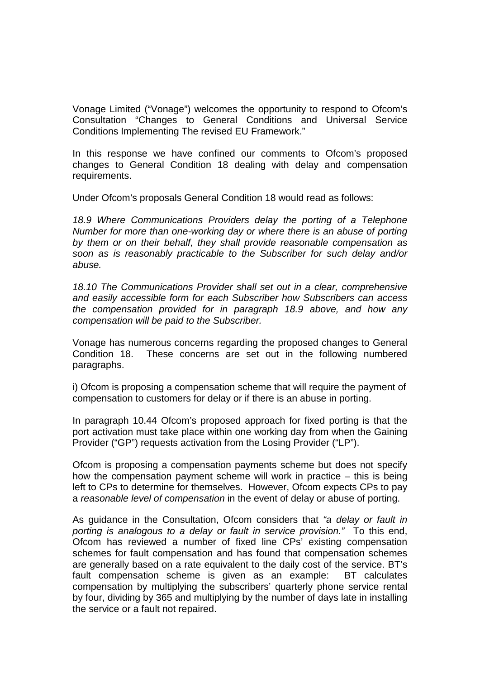Vonage Limited ("Vonage") welcomes the opportunity to respond to Ofcom's Consultation "Changes to General Conditions and Universal Service Conditions Implementing The revised EU Framework."

In this response we have confined our comments to Ofcom's proposed changes to General Condition 18 dealing with delay and compensation requirements.

Under Ofcom's proposals General Condition 18 would read as follows:

*18.9 Where Communications Providers delay the porting of a Telephone Number for more than one-working day or where there is an abuse of porting by them or on their behalf, they shall provide reasonable compensation as soon as is reasonably practicable to the Subscriber for such delay and/or abuse.*

*18.10 The Communications Provider shall set out in a clear, comprehensive and easily accessible form for each Subscriber how Subscribers can access the compensation provided for in paragraph 18.9 above, and how any compensation will be paid to the Subscriber.*

Vonage has numerous concerns regarding the proposed changes to General Condition 18. These concerns are set out in the following numbered paragraphs.

i) Ofcom is proposing a compensation scheme that will require the payment of compensation to customers for delay or if there is an abuse in porting.

In paragraph 10.44 Ofcom's proposed approach for fixed porting is that the port activation must take place within one working day from when the Gaining Provider ("GP") requests activation from the Losing Provider ("LP").

Ofcom is proposing a compensation payments scheme but does not specify how the compensation payment scheme will work in practice – this is being left to CPs to determine for themselves. However, Ofcom expects CPs to pay a *reasonable level of compensation* in the event of delay or abuse of porting.

As guidance in the Consultation, Ofcom considers that *"a delay or fault in porting is analogous to a delay or fault in service provision."* To this end, Ofcom has reviewed a number of fixed line CPs' existing compensation schemes for fault compensation and has found that compensation schemes are generally based on a rate equivalent to the daily cost of the service. BT's fault compensation scheme is given as an example: BT calculates compensation by multiplying the subscribers' quarterly phone service rental by four, dividing by 365 and multiplying by the number of days late in installing the service or a fault not repaired.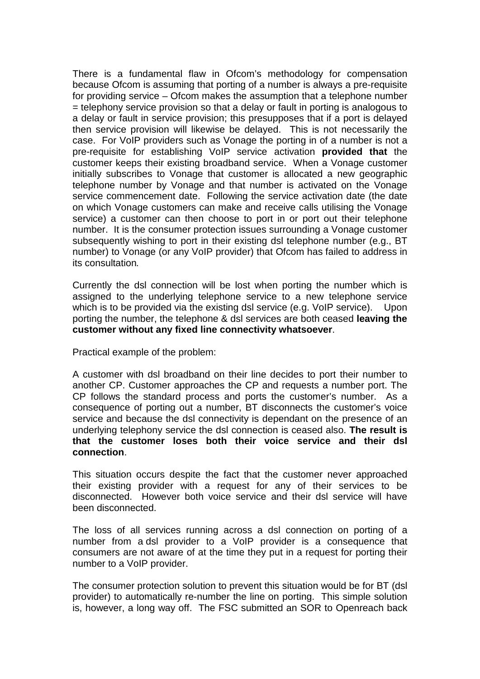There is a fundamental flaw in Ofcom's methodology for compensation because Ofcom is assuming that porting of a number is always a pre-requisite for providing service – Ofcom makes the assumption that a telephone number = telephony service provision so that a delay or fault in porting is analogous to a delay or fault in service provision; this presupposes that if a port is delayed then service provision will likewise be delayed. This is not necessarily the case. For VoIP providers such as Vonage the porting in of a number is not a pre-requisite for establishing VoIP service activation **provided that** the customer keeps their existing broadband service. When a Vonage customer initially subscribes to Vonage that customer is allocated a new geographic telephone number by Vonage and that number is activated on the Vonage service commencement date. Following the service activation date (the date on which Vonage customers can make and receive calls utilising the Vonage service) a customer can then choose to port in or port out their telephone number. It is the consumer protection issues surrounding a Vonage customer subsequently wishing to port in their existing dsl telephone number (e.g., BT number) to Vonage (or any VoIP provider) that Ofcom has failed to address in its consultation*.*

Currently the dsl connection will be lost when porting the number which is assigned to the underlying telephone service to a new telephone service which is to be provided via the existing dsl service (e.g. VoIP service). Upon porting the number, the telephone & dsl services are both ceased **leaving the customer without any fixed line connectivity whatsoever**.

Practical example of the problem:

A customer with dsl broadband on their line decides to port their number to another CP. Customer approaches the CP and requests a number port. The CP follows the standard process and ports the customer's number. As a consequence of porting out a number, BT disconnects the customer's voice service and because the dsl connectivity is dependant on the presence of an underlying telephony service the dsl connection is ceased also. **The result is that the customer loses both their voice service and their dsl connection**.

This situation occurs despite the fact that the customer never approached their existing provider with a request for any of their services to be disconnected. However both voice service and their dsl service will have been disconnected.

The loss of all services running across a dsl connection on porting of a number from a dsl provider to a VoIP provider is a consequence that consumers are not aware of at the time they put in a request for porting their number to a VoIP provider.

The consumer protection solution to prevent this situation would be for BT (dsl provider) to automatically re-number the line on porting. This simple solution is, however, a long way off. The FSC submitted an SOR to Openreach back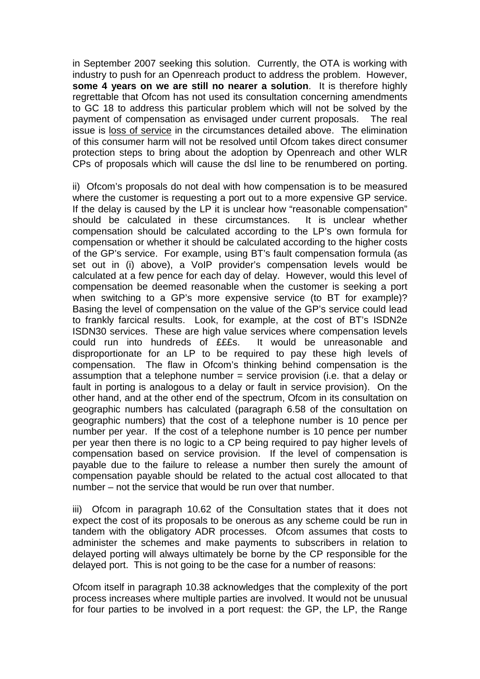in September 2007 seeking this solution. Currently, the OTA is working with industry to push for an Openreach product to address the problem. However, **some 4 years on we are still no nearer a solution**. It is therefore highly regrettable that Ofcom has not used its consultation concerning amendments to GC 18 to address this particular problem which will not be solved by the payment of compensation as envisaged under current proposals. The real issue is loss of service in the circumstances detailed above. The elimination of this consumer harm will not be resolved until Ofcom takes direct consumer protection steps to bring about the adoption by Openreach and other WLR CPs of proposals which will cause the dsl line to be renumbered on porting.

ii) Ofcom's proposals do not deal with how compensation is to be measured where the customer is requesting a port out to a more expensive GP service. If the delay is caused by the LP it is unclear how "reasonable compensation" should be calculated in these circumstances. It is unclear whether compensation should be calculated according to the LP's own formula for compensation or whether it should be calculated according to the higher costs of the GP's service. For example, using BT's fault compensation formula (as set out in (i) above), a VoIP provider's compensation levels would be calculated at a few pence for each day of delay. However, would this level of compensation be deemed reasonable when the customer is seeking a port when switching to a GP's more expensive service (to BT for example)? Basing the level of compensation on the value of the GP's service could lead to frankly farcical results. Look, for example, at the cost of BT's ISDN2e ISDN30 services. These are high value services where compensation levels could run into hundreds of £££s. It would be unreasonable and disproportionate for an LP to be required to pay these high levels of compensation. The flaw in Ofcom's thinking behind compensation is the assumption that a telephone number = service provision (i.e. that a delay or fault in porting is analogous to a delay or fault in service provision). On the other hand, and at the other end of the spectrum, Ofcom in its consultation on geographic numbers has calculated (paragraph 6.58 of the consultation on geographic numbers) that the cost of a telephone number is 10 pence per number per year. If the cost of a telephone number is 10 pence per number per year then there is no logic to a CP being required to pay higher levels of compensation based on service provision. If the level of compensation is payable due to the failure to release a number then surely the amount of compensation payable should be related to the actual cost allocated to that number – not the service that would be run over that number.

iii) Ofcom in paragraph 10.62 of the Consultation states that it does not expect the cost of its proposals to be onerous as any scheme could be run in tandem with the obligatory ADR processes. Ofcom assumes that costs to administer the schemes and make payments to subscribers in relation to delayed porting will always ultimately be borne by the CP responsible for the delayed port. This is not going to be the case for a number of reasons:

Ofcom itself in paragraph 10.38 acknowledges that the complexity of the port process increases where multiple parties are involved. It would not be unusual for four parties to be involved in a port request: the GP, the LP, the Range